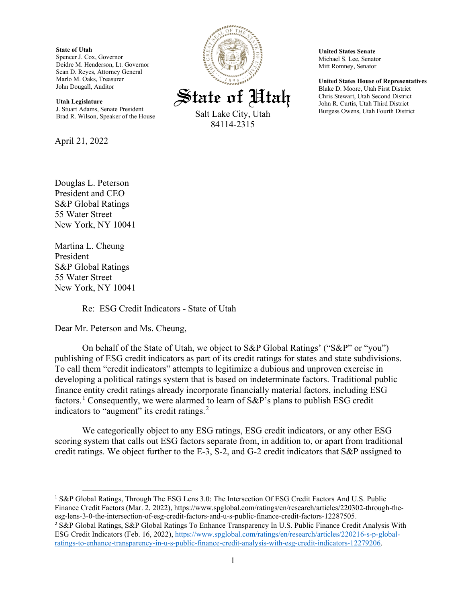**State of Utah** Spencer J. Cox, Governor Deidre M. Henderson, Lt. Governor Sean D. Reyes, Attorney General Marlo M. Oaks, Treasurer John Dougall, Auditor

**Utah Legislature** J. Stuart Adams, Senate President Brad R. Wilson, Speaker of the House

April 21, 2022

Douglas L. Peterson President and CEO S&P Global Ratings 55 Water Street New York, NY 10041

Martina L. Cheung President S&P Global Ratings 55 Water Street New York, NY 10041

Re: ESG Credit Indicators - State of Utah

Dear Mr. Peterson and Ms. Cheung,

On behalf of the State of Utah, we object to S&P Global Ratings' ("S&P" or "you") publishing of ESG credit indicators as part of its credit ratings for states and state subdivisions. To call them "credit indicators" attempts to legitimize a dubious and unproven exercise in developing a political ratings system that is based on indeterminate factors. Traditional public finance entity credit ratings already incorporate financially material factors, including ESG factors.<sup>[1](#page-0-0)</sup> Consequently, we were alarmed to learn of S&P's plans to publish ESG credit indicators to "augment" its credit ratings.<sup>[2](#page-0-1)</sup>

We categorically object to any ESG ratings, ESG credit indicators, or any other ESG scoring system that calls out ESG factors separate from, in addition to, or apart from traditional credit ratings. We object further to the E-3, S-2, and G-2 credit indicators that S&P assigned to

<span id="page-0-0"></span><sup>1</sup> S&P Global Ratings, Through The ESG Lens 3.0: The Intersection Of ESG Credit Factors And U.S. Public Finance Credit Factors (Mar. 2, 2022), https://www.spglobal.com/ratings/en/research/articles/220302-through-theesg-lens-3-0-the-intersection-of-esg-credit-factors-and-u-s-public-finance-credit-factors-12287505.



**United States Senate** Michael S. Lee, Senator Mitt Romney, Senator

**United States House of Representatives** Blake D. Moore, Utah First District Chris Stewart, Utah Second District John R. Curtis, Utah Third District Burgess Owens, Utah Fourth District

<span id="page-0-1"></span><sup>2</sup> S&P Global Ratings, S&P Global Ratings To Enhance Transparency In U.S. Public Finance Credit Analysis With ESG Credit Indicators (Feb. 16, 2022), [https://www.spglobal.com/ratings/en/research/articles/220216-s-p-global](https://www.spglobal.com/ratings/en/research/articles/220216-s-p-global-ratings-to-enhance-transparency-in-u-s-public-finance-credit-analysis-with-esg-credit-indicators-12279206)[ratings-to-enhance-transparency-in-u-s-public-finance-credit-analysis-with-esg-credit-indicators-12279206.](https://www.spglobal.com/ratings/en/research/articles/220216-s-p-global-ratings-to-enhance-transparency-in-u-s-public-finance-credit-analysis-with-esg-credit-indicators-12279206)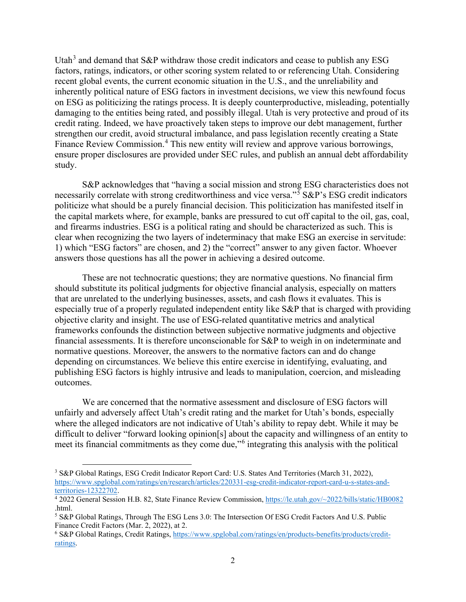Utah<sup>[3](#page-1-0)</sup> and demand that  $S\&P$  withdraw those credit indicators and cease to publish any ESG factors, ratings, indicators, or other scoring system related to or referencing Utah. Considering recent global events, the current economic situation in the U.S., and the unreliability and inherently political nature of ESG factors in investment decisions, we view this newfound focus on ESG as politicizing the ratings process. It is deeply counterproductive, misleading, potentially damaging to the entities being rated, and possibly illegal. Utah is very protective and proud of its credit rating. Indeed, we have proactively taken steps to improve our debt management, further strengthen our credit, avoid structural imbalance, and pass legislation recently creating a State Finance Review Commission.<sup>[4](#page-1-1)</sup> This new entity will review and approve various borrowings, ensure proper disclosures are provided under SEC rules, and publish an annual debt affordability study.

S&P acknowledges that "having a social mission and strong ESG characteristics does not necessarily correlate with strong creditworthiness and vice versa."<sup>[5](#page-1-2)</sup> S&P's ESG credit indicators politicize what should be a purely financial decision. This politicization has manifested itself in the capital markets where, for example, banks are pressured to cut off capital to the oil, gas, coal, and firearms industries. ESG is a political rating and should be characterized as such. This is clear when recognizing the two layers of indeterminacy that make ESG an exercise in servitude: 1) which "ESG factors" are chosen, and 2) the "correct" answer to any given factor. Whoever answers those questions has all the power in achieving a desired outcome.

These are not technocratic questions; they are normative questions. No financial firm should substitute its political judgments for objective financial analysis, especially on matters that are unrelated to the underlying businesses, assets, and cash flows it evaluates. This is especially true of a properly regulated independent entity like S&P that is charged with providing objective clarity and insight. The use of ESG-related quantitative metrics and analytical frameworks confounds the distinction between subjective normative judgments and objective financial assessments. It is therefore unconscionable for S&P to weigh in on indeterminate and normative questions. Moreover, the answers to the normative factors can and do change depending on circumstances. We believe this entire exercise in identifying, evaluating, and publishing ESG factors is highly intrusive and leads to manipulation, coercion, and misleading outcomes.

We are concerned that the normative assessment and disclosure of ESG factors will unfairly and adversely affect Utah's credit rating and the market for Utah's bonds, especially where the alleged indicators are not indicative of Utah's ability to repay debt. While it may be difficult to deliver "forward looking opinion[s] about the capacity and willingness of an entity to meet its financial commitments as they come due,"[6](#page-1-3) integrating this analysis with the political

<span id="page-1-0"></span><sup>3</sup> S&P Global Ratings, ESG Credit Indicator Report Card: U.S. States And Territories (March 31, 2022), [https://www.spglobal.com/ratings/en/research/articles/220331-esg-credit-indicator-report-card-u-s-states-and](https://www.spglobal.com/ratings/en/research/articles/220331-esg-credit-indicator-report-card-u-s-states-and-territories-12322702)[territories-12322702.](https://www.spglobal.com/ratings/en/research/articles/220331-esg-credit-indicator-report-card-u-s-states-and-territories-12322702) 4 2022 General Session H.B. 82, State Finance Review Commission, [https://le.utah.gov/~2022/bills/static/HB0082](https://le.utah.gov/%7E2022/bills/static/HB0082)

<span id="page-1-1"></span><sup>.</sup>html.

<span id="page-1-2"></span><sup>5</sup> S&P Global Ratings, Through The ESG Lens 3.0: The Intersection Of ESG Credit Factors And U.S. Public Finance Credit Factors (Mar. 2, 2022), at 2.

<span id="page-1-3"></span><sup>6</sup> S&P Global Ratings, Credit Ratings, [https://www.spglobal.com/ratings/en/products-benefits/products/credit](https://www.spglobal.com/ratings/en/products-benefits/products/credit-ratings)[ratings.](https://www.spglobal.com/ratings/en/products-benefits/products/credit-ratings)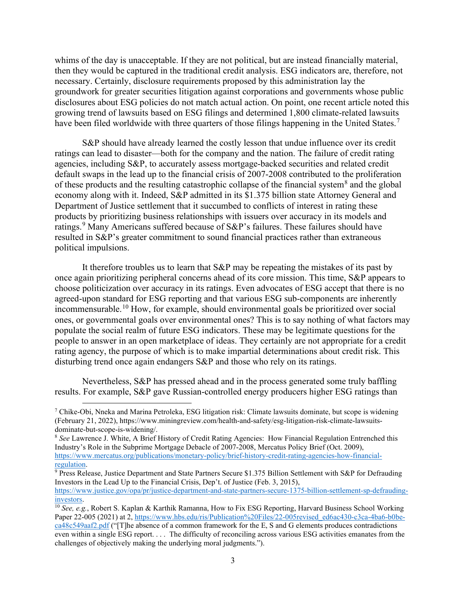whims of the day is unacceptable. If they are not political, but are instead financially material, then they would be captured in the traditional credit analysis. ESG indicators are, therefore, not necessary. Certainly, disclosure requirements proposed by this administration lay the groundwork for greater securities litigation against corporations and governments whose public disclosures about ESG policies do not match actual action. On point, one recent article noted this growing trend of lawsuits based on ESG filings and determined 1,800 climate-related lawsuits have been filed worldwide with three quarters of those filings happening in the United States.<sup>[7](#page-2-0)</sup>

S&P should have already learned the costly lesson that undue influence over its credit ratings can lead to disaster—both for the company and the nation. The failure of credit rating agencies, including S&P, to accurately assess mortgage-backed securities and related credit default swaps in the lead up to the financial crisis of 2007-2008 contributed to the proliferation of these products and the resulting catastrophic collapse of the financial system<sup>[8](#page-2-1)</sup> and the global economy along with it. Indeed, S&P admitted in its \$1.375 billion state Attorney General and Department of Justice settlement that it succumbed to conflicts of interest in rating these products by prioritizing business relationships with issuers over accuracy in its models and ratings.<sup>[9](#page-2-2)</sup> Many Americans suffered because of  $S\&P$ 's failures. These failures should have resulted in S&P's greater commitment to sound financial practices rather than extraneous political impulsions.

It therefore troubles us to learn that S&P may be repeating the mistakes of its past by once again prioritizing peripheral concerns ahead of its core mission. This time, S&P appears to choose politicization over accuracy in its ratings. Even advocates of ESG accept that there is no agreed-upon standard for ESG reporting and that various ESG sub-components are inherently incommensurable.[10](#page-2-3) How, for example, should environmental goals be prioritized over social ones, or governmental goals over environmental ones? This is to say nothing of what factors may populate the social realm of future ESG indicators. These may be legitimate questions for the people to answer in an open marketplace of ideas. They certainly are not appropriate for a credit rating agency, the purpose of which is to make impartial determinations about credit risk. This disturbing trend once again endangers S&P and those who rely on its ratings.

Nevertheless, S&P has pressed ahead and in the process generated some truly baffling results. For example, S&P gave Russian-controlled energy producers higher ESG ratings than

<span id="page-2-0"></span><sup>7</sup> Chike-Obi, Nneka and Marina Petroleka, ESG litigation risk: Climate lawsuits dominate, but scope is widening (February 21, 2022), https://www.miningreview.com/health-and-safety/esg-litigation-risk-climate-lawsuitsdominate-but-scope-is-widening/.

<span id="page-2-1"></span><sup>8</sup> *See* Lawrence J. White, A Brief History of Credit Rating Agencies: How Financial Regulation Entrenched this Industry's Role in the Subprime Mortgage Debacle of 2007-2008, Mercatus Policy Brief (Oct. 2009), [https://www.mercatus.org/publications/monetary-policy/brief-history-credit-rating-agencies-how-financial-](https://www.mercatus.org/publications/monetary-policy/brief-history-credit-rating-agencies-how-financial-regulation)

<span id="page-2-2"></span> $\frac{9}{9}$  Press Release, Justice Department and State Partners Secure \$1.375 Billion Settlement with S&P for Defrauding Investors in the Lead Up to the Financial Crisis, Dep't. of Justice (Feb. 3, 2015),

[https://www.justice.gov/opa/pr/justice-department-and-state-partners-secure-1375-billion-settlement-sp-defrauding](https://www.justice.gov/opa/pr/justice-department-and-state-partners-secure-1375-billion-settlement-sp-defrauding-investors)[investors.](https://www.justice.gov/opa/pr/justice-department-and-state-partners-secure-1375-billion-settlement-sp-defrauding-investors) 10 *See, e.g.*, Robert S. Kaplan & Karthik Ramanna, How to Fix ESG Reporting, Harvard Business School Working

<span id="page-2-3"></span>Paper 22-005 (2021) at 2, [https://www.hbs.edu/ris/Publication%20Files/22-005revised\\_ed6ac430-c3ca-4ba6-b0be](https://www.hbs.edu/ris/Publication%20Files/22-005revised_ed6ac430-c3ca-4ba6-b0be-ca48c549aaf2.pdf)[ca48c549aaf2.pdf](https://www.hbs.edu/ris/Publication%20Files/22-005revised_ed6ac430-c3ca-4ba6-b0be-ca48c549aaf2.pdf) ("[T]he absence of a common framework for the E, S and G elements produces contradictions even within a single ESG report. . . . The difficulty of reconciling across various ESG activities emanates from the challenges of objectively making the underlying moral judgments.").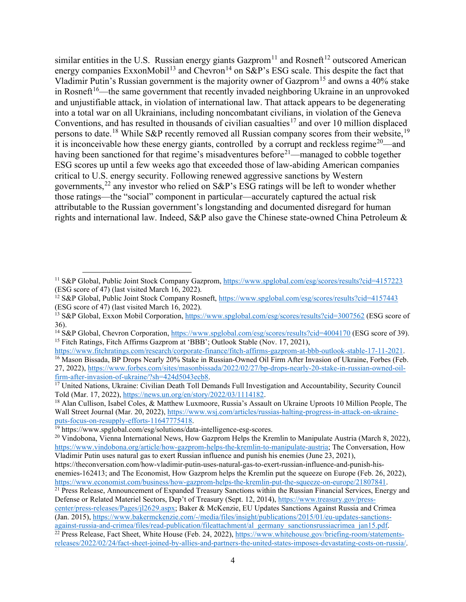similar entities in the U.S. Russian energy giants  $\text{Gazprom}^{11}$  $\text{Gazprom}^{11}$  $\text{Gazprom}^{11}$  and Rosneft<sup>[12](#page-3-1)</sup> outscored American energy companies ExxonMobil<sup>[13](#page-3-2)</sup> and Chevron<sup>[14](#page-3-3)</sup> on S&P's ESG scale. This despite the fact that Vladimir Putin's Russian government is the majority owner of Gazprom<sup>[15](#page-3-4)</sup> and owns a 40% stake in Rosneft<sup>[16](#page-3-5)</sup>—the same government that recently invaded neighboring Ukraine in an unprovoked and unjustifiable attack, in violation of international law. That attack appears to be degenerating into a total war on all Ukrainians, including noncombatant civilians, in violation of the Geneva Conventions, and has resulted in thousands of civilian casualties<sup>[17](#page-3-6)</sup> and over 10 million displaced persons to date.<sup>[18](#page-3-7)</sup> While S&P recently removed all Russian company scores from their website,<sup>[19](#page-3-8)</sup> it is inconceivable how these energy giants, controlled by a corrupt and reckless regime<sup>20</sup>—and having been sanctioned for that regime's misadventures before<sup>[21](#page-3-10)</sup>—managed to cobble together ESG scores up until a few weeks ago that exceeded those of law-abiding American companies critical to U.S. energy security. Following renewed aggressive sanctions by Western governments,<sup>[22](#page-3-11)</sup> any investor who relied on  $S\&P$ 's ESG ratings will be left to wonder whether those ratings—the "social" component in particular—accurately captured the actual risk attributable to the Russian government's longstanding and documented disregard for human rights and international law. Indeed, S&P also gave the Chinese state-owned China Petroleum &

<span id="page-3-0"></span><sup>11</sup> S&P Global, Public Joint Stock Company Gazprom[, https://www.spglobal.com/esg/scores/results?cid=4157223](https://www.spglobal.com/esg/scores/results?cid=4157223) (ESG score of 47) (last visited March 16, 2022).

<span id="page-3-1"></span><sup>&</sup>lt;sup>12</sup> S&P Global, Public Joint Stock Company Rosneft,<https://www.spglobal.com/esg/scores/results?cid=4157443> (ESG score of 47) (last visited March 16, 2022).

<span id="page-3-2"></span><sup>13</sup> S&P Global, Exxon Mobil Corporation[, https://www.spglobal.com/esg/scores/results?cid=3007562](https://www.spglobal.com/esg/scores/results?cid=3007562) (ESG score of 36).

<span id="page-3-4"></span><span id="page-3-3"></span><sup>&</sup>lt;sup>14</sup> S&P Global, Chevron Corporation,<https://www.spglobal.com/esg/scores/results?cid=4004170> (ESG score of 39). <sup>15</sup> Fitch Ratings, Fitch Affirms Gazprom at 'BBB'; Outlook Stable (Nov. 17, 2021),<br>https://www.fitchratings.com/research/corporate-finance/fitch-affirms-gazprom-at-bbb-outlook-stable-17-11-2021.

<span id="page-3-5"></span><sup>&</sup>lt;sup>16</sup> Mason Bissada, BP Drops Nearly 20% Stake in Russian-Owned Oil Firm After Invasion of Ukraine, Forbes (Feb. 27, 2022), https://www.forbes.com/sites/masonbissada/2022/02/27/bp-drops-nearly-20-stake-in-russian-owned-oil-<br>firm-after-invasion-of-ukraine/?sh=424d5043ecb8.

<span id="page-3-6"></span><sup>&</sup>lt;sup>17</sup> United Nations, Ukraine: Civilian Death Toll Demands Full Investigation and Accountability, Security Council Told (Mar. 17, 2022),  $\frac{https://news.un.org/en/story/2022/03/1114182}$ .

<span id="page-3-7"></span><sup>&</sup>lt;sup>18</sup> Alan Cullison, Isabel Coles, & Matthew Luxmoore, Russia's Assault on Ukraine Uproots 10 Million People, The Wall Street Journal (Mar. 20, 2022), https://www.wsj.com/articles/russias-halting-progress-in-attack-on-ukraine-<br>puts-focus-on-resupply-efforts-11647775418.

<span id="page-3-8"></span> $\frac{19}{19}$  https://www.spglobal.com/esg/solutions/data-intelligence-esg-scores.

<span id="page-3-9"></span><sup>&</sup>lt;sup>20</sup> Vindobona, Vienna International News, How Gazprom Helps the Kremlin to Manipulate Austria (March 8, 2022), [https://www.vindobona.org/article/how-gazprom-helps-the-kremlin-to-manipulate-austria;](https://www.vindobona.org/article/how-gazprom-helps-the-kremlin-to-manipulate-austria) The Conversation, How Vladimir Putin uses natural gas to exert Russian influence and punish his enemies (June 23, 2021),

https://theconversation.com/how-vladimir-putin-uses-natural-gas-to-exert-russian-influence-and-punish-hisenemies-162413; and The Economist, How Gazprom helps the Kremlin put the squeeze on Europe (Feb. 26, 2022), https://www.economist.com/business/how-gazprom-helps-the-kremlin-put-the-squeeze-on-europe/21807841.

<span id="page-3-10"></span> $\frac{1}{21}$  Press Release, Announcement of Expanded Treasury Sanctions within the Russian Financial Services, Energy and Defense or Related Materiel Sectors, Dep't of Treasury (Sept. 12, 2014)[, https://www.treasury.gov/press-](https://www.treasury.gov/press-center/press-releases/Pages/jl2629.aspx)

[center/press-releases/Pages/jl2629.aspx;](https://www.treasury.gov/press-center/press-releases/Pages/jl2629.aspx) Baker & McKenzie, EU Updates Sanctions Against Russia and Crimea (Jan. 2015), [https://www.bakermckenzie.com/-/media/files/insight/publications/2015/01/eu-updates-sanctions-](https://www.bakermckenzie.com/-/media/files/insight/publications/2015/01/eu-updates-sanctions-against-russia-and-crimea/files/read-publication/fileattachment/al_germany_sanctionsrussiacrimea_jan15.pdf)

<span id="page-3-11"></span>[against-russia-and-crimea/files/read-publication/fileattachment/al\\_germany\\_sanctionsrussiacrimea\\_jan15.pdf.](https://www.bakermckenzie.com/-/media/files/insight/publications/2015/01/eu-updates-sanctions-against-russia-and-crimea/files/read-publication/fileattachment/al_germany_sanctionsrussiacrimea_jan15.pdf) <sup>22</sup> Press Release, Fact Sheet, White House (Feb. 24, 2022), [https://www.whitehouse.gov/briefing-room/statements](https://www.whitehouse.gov/briefing-room/statements-releases/2022/02/24/fact-sheet-joined-by-allies-and-partners-the-united-states-imposes-devastating-costs-on-russia/)[releases/2022/02/24/fact-sheet-joined-by-allies-and-partners-the-united-states-imposes-devastating-costs-on-russia/.](https://www.whitehouse.gov/briefing-room/statements-releases/2022/02/24/fact-sheet-joined-by-allies-and-partners-the-united-states-imposes-devastating-costs-on-russia/)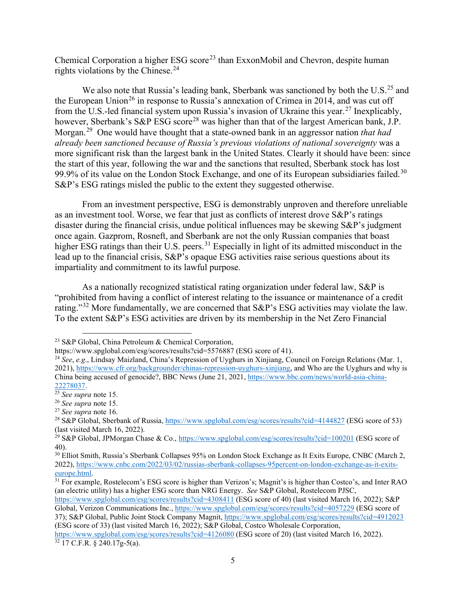Chemical Corporation a higher ESG score<sup>[23](#page-4-0)</sup> than ExxonMobil and Chevron, despite human rights violations by the Chinese.<sup>24</sup>

We also note that Russia's leading bank, Sberbank was sanctioned by both the U.S.<sup>[25](#page-4-2)</sup> and the European Union<sup>[26](#page-4-3)</sup> in response to Russia's annexation of Crimea in 2014, and was cut off from the U.S.-led financial system upon Russia's invasion of Ukraine this year.[27](#page-4-4) Inexplicably, however, Sberbank's S&P ESG score<sup>[28](#page-4-5)</sup> was higher than that of the largest American bank, J.P. Morgan.[29](#page-4-6) One would have thought that a state-owned bank in an aggressor nation *that had already been sanctioned because of Russia's previous violations of national sovereignty* was a more significant risk than the largest bank in the United States. Clearly it should have been: since the start of this year, following the war and the sanctions that resulted, Sberbank stock has lost 99.9% of its value on the London Stock Exchange, and one of its European subsidiaries failed.<sup>[30](#page-4-7)</sup> S&P's ESG ratings misled the public to the extent they suggested otherwise.

From an investment perspective, ESG is demonstrably unproven and therefore unreliable as an investment tool. Worse, we fear that just as conflicts of interest drove S&P's ratings disaster during the financial crisis, undue political influences may be skewing S&P's judgment once again. Gazprom, Rosneft, and Sberbank are not the only Russian companies that boast higher ESG ratings than their U.S. peers.<sup>[31](#page-4-8)</sup> Especially in light of its admitted misconduct in the lead up to the financial crisis, S&P's opaque ESG activities raise serious questions about its impartiality and commitment to its lawful purpose.

As a nationally recognized statistical rating organization under federal law, S&P is "prohibited from having a conflict of interest relating to the issuance or maintenance of a credit rating."<sup>[32](#page-4-9)</sup> More fundamentally, we are concerned that  $S\&P$ 's ESG activities may violate the law. To the extent S&P's ESG activities are driven by its membership in the Net Zero Financial

<https://www.spglobal.com/esg/scores/results?cid=4308411> (ESG score of 40) (last visited March 16, 2022); S&P Global, Verizon Communications Inc.,<https://www.spglobal.com/esg/scores/results?cid=4057229> (ESG score of 37); S&P Global, Public Joint Stock Company Magnit,<https://www.spglobal.com/esg/scores/results?cid=4912023> (ESG score of 33) (last visited March 16, 2022); S&P Global, Costco Wholesale Corporation, <https://www.spglobal.com/esg/scores/results?cid=4126080> (ESG score of 20) (last visited March 16, 2022).

<span id="page-4-9"></span> $32 \overline{17}$  C.F.R.  $\overline{240.17g}$ -5(a).

<span id="page-4-0"></span><sup>23</sup> S&P Global, China Petroleum & Chemical Corporation,

https://www.spglobal.com/esg/scores/results?cid=5576887 (ESG score of 41).

<span id="page-4-1"></span><sup>24</sup> *See*, *e.g*., Lindsay Maizland, China's Repression of Uyghurs in Xinjiang, Council on Foreign Relations (Mar. 1, 2021), [https://www.cfr.org/backgrounder/chinas-repression-uyghurs-xinjiang,](https://www.cfr.org/backgrounder/chinas-repression-uyghurs-xinjiang) and Who are the Uyghurs and why is China being accused of genocide?, BBC News (June 21, 2021[, https://www.bbc.com/news/world-asia-china-](https://www.bbc.com/news/world-asia-china-22278037)[22278037.](https://www.bbc.com/news/world-asia-china-22278037) 25 *See supra* note 15.

<span id="page-4-3"></span><span id="page-4-2"></span><sup>26</sup> *See supra* note 15.

<span id="page-4-4"></span><sup>27</sup> *See supra* note 16.

<span id="page-4-5"></span><sup>28</sup> S&P Global, Sberbank of Russia,<https://www.spglobal.com/esg/scores/results?cid=4144827> (ESG score of 53) (last visited March 16, 2022).

<span id="page-4-6"></span><sup>&</sup>lt;sup>29</sup> S&P Global, JPMorgan Chase & Co.[, https://www.spglobal.com/esg/scores/results?cid=100201](https://www.spglobal.com/esg/scores/results?cid=100201) (ESG score of 40).

<span id="page-4-7"></span><sup>&</sup>lt;sup>30</sup> Elliot Smith, Russia's Sberbank Collapses 95% on London Stock Exchange as It Exits Europe, CNBC (March 2, 2022), [https://www.cnbc.com/2022/03/02/russias-sberbank-collapses-95percent-on-london-exchange-as-it-exits-](https://www.cnbc.com/2022/03/02/russias-sberbank-collapses-95percent-on-london-exchange-as-it-exits-europe.html)

<span id="page-4-8"></span> $\frac{31}{21}$  For example, Rostelecom's ESG score is higher than Verizon's; Magnit's is higher than Costco's, and Inter RAO (an electric utility) has a higher ESG score than NRG Energy. *See* S&P Global, Rostelecom PJSC,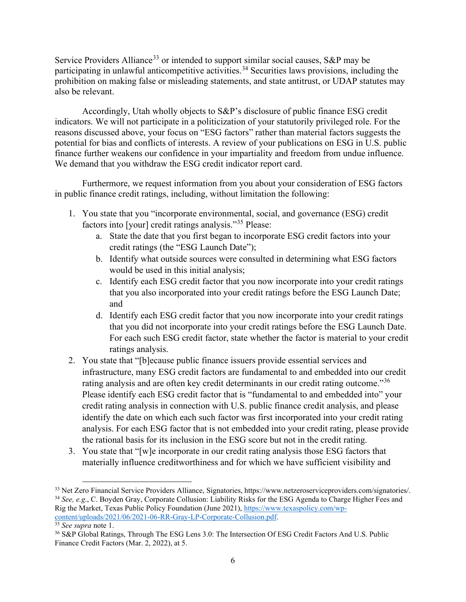Service Providers Alliance<sup>[33](#page-5-0)</sup> or intended to support similar social causes, S&P may be participating in unlawful anticompetitive activities.<sup>[34](#page-5-1)</sup> Securities laws provisions, including the prohibition on making false or misleading statements, and state antitrust, or UDAP statutes may also be relevant.

Accordingly, Utah wholly objects to S&P's disclosure of public finance ESG credit indicators. We will not participate in a politicization of your statutorily privileged role. For the reasons discussed above, your focus on "ESG factors" rather than material factors suggests the potential for bias and conflicts of interests. A review of your publications on ESG in U.S. public finance further weakens our confidence in your impartiality and freedom from undue influence. We demand that you withdraw the ESG credit indicator report card.

Furthermore, we request information from you about your consideration of ESG factors in public finance credit ratings, including, without limitation the following:

- 1. You state that you "incorporate environmental, social, and governance (ESG) credit factors into [your] credit ratings analysis."[35](#page-5-2) Please:
	- a. State the date that you first began to incorporate ESG credit factors into your credit ratings (the "ESG Launch Date");
	- b. Identify what outside sources were consulted in determining what ESG factors would be used in this initial analysis;
	- c. Identify each ESG credit factor that you now incorporate into your credit ratings that you also incorporated into your credit ratings before the ESG Launch Date; and
	- d. Identify each ESG credit factor that you now incorporate into your credit ratings that you did not incorporate into your credit ratings before the ESG Launch Date. For each such ESG credit factor, state whether the factor is material to your credit ratings analysis.
- 2. You state that "[b]ecause public finance issuers provide essential services and infrastructure, many ESG credit factors are fundamental to and embedded into our credit rating analysis and are often key credit determinants in our credit rating outcome."<sup>36</sup> Please identify each ESG credit factor that is "fundamental to and embedded into" your credit rating analysis in connection with U.S. public finance credit analysis, and please identify the date on which each such factor was first incorporated into your credit rating analysis. For each ESG factor that is not embedded into your credit rating, please provide the rational basis for its inclusion in the ESG score but not in the credit rating.
- 3. You state that "[w]e incorporate in our credit rating analysis those ESG factors that materially influence creditworthiness and for which we have sufficient visibility and

<span id="page-5-0"></span><sup>33</sup> Net Zero Financial Service Providers Alliance, Signatories, https://www.netzeroserviceproviders.com/signatories/. <sup>34</sup> *See, e.g*., C. Boyden Gray, Corporate Collusion: Liability Risks for the ESG Agenda to Charge Higher Fees and

<span id="page-5-1"></span>Rig the Market, Texas Public Policy Foundation (June 2021), https://www.texaspolicy.com/wp-<br>content/uploads/2021/06/2021-06-RR-Gray-LP-Corporate-Collusion.pdf.

<span id="page-5-3"></span><span id="page-5-2"></span><sup>&</sup>lt;sup>35</sup> See supra note 1.<br><sup>36</sup> S&P Global Ratings, Through The ESG Lens 3.0: The Intersection Of ESG Credit Factors And U.S. Public Finance Credit Factors (Mar. 2, 2022), at 5.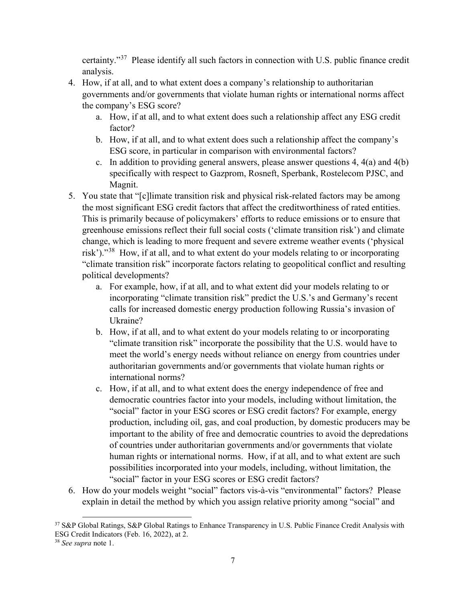certainty."[37](#page-6-0) Please identify all such factors in connection with U.S. public finance credit analysis.

- 4. How, if at all, and to what extent does a company's relationship to authoritarian governments and/or governments that violate human rights or international norms affect the company's ESG score?
	- a. How, if at all, and to what extent does such a relationship affect any ESG credit factor?
	- b. How, if at all, and to what extent does such a relationship affect the company's ESG score, in particular in comparison with environmental factors?
	- c. In addition to providing general answers, please answer questions 4, 4(a) and 4(b) specifically with respect to Gazprom, Rosneft, Sperbank, Rostelecom PJSC, and Magnit.
- 5. You state that "[c]limate transition risk and physical risk-related factors may be among the most significant ESG credit factors that affect the creditworthiness of rated entities. This is primarily because of policymakers' efforts to reduce emissions or to ensure that greenhouse emissions reflect their full social costs ('climate transition risk') and climate change, which is leading to more frequent and severe extreme weather events ('physical risk')."[38](#page-6-1) How, if at all, and to what extent do your models relating to or incorporating "climate transition risk" incorporate factors relating to geopolitical conflict and resulting political developments?
	- a. For example, how, if at all, and to what extent did your models relating to or incorporating "climate transition risk" predict the U.S.'s and Germany's recent calls for increased domestic energy production following Russia's invasion of Ukraine?
	- b. How, if at all, and to what extent do your models relating to or incorporating "climate transition risk" incorporate the possibility that the U.S. would have to meet the world's energy needs without reliance on energy from countries under authoritarian governments and/or governments that violate human rights or international norms?
	- c. How, if at all, and to what extent does the energy independence of free and democratic countries factor into your models, including without limitation, the "social" factor in your ESG scores or ESG credit factors? For example, energy production, including oil, gas, and coal production, by domestic producers may be important to the ability of free and democratic countries to avoid the depredations of countries under authoritarian governments and/or governments that violate human rights or international norms. How, if at all, and to what extent are such possibilities incorporated into your models, including, without limitation, the "social" factor in your ESG scores or ESG credit factors?
- 6. How do your models weight "social" factors vis-à-vis "environmental" factors? Please explain in detail the method by which you assign relative priority among "social" and

<span id="page-6-0"></span><sup>37</sup> S&P Global Ratings, S&P Global Ratings to Enhance Transparency in U.S. Public Finance Credit Analysis with ESG Credit Indicators (Feb. 16, 2022), at 2.

<span id="page-6-1"></span><sup>38</sup> *See supra* note 1.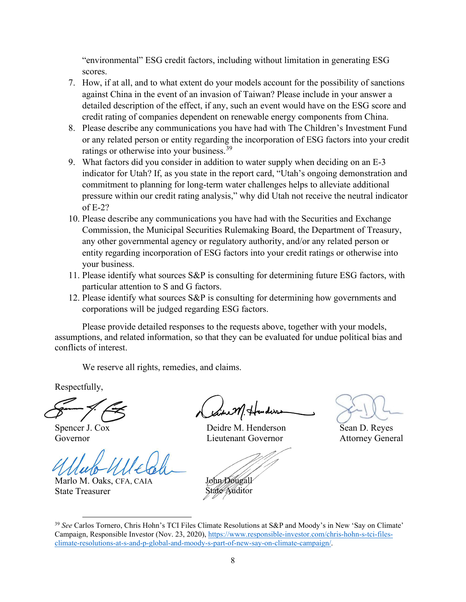"environmental" ESG credit factors, including without limitation in generating ESG scores.

- 7. How, if at all, and to what extent do your models account for the possibility of sanctions against China in the event of an invasion of Taiwan? Please include in your answer a detailed description of the effect, if any, such an event would have on the ESG score and credit rating of companies dependent on renewable energy components from China.
- 8. Please describe any communications you have had with The Children's Investment Fund or any related person or entity regarding the incorporation of ESG factors into your credit ratings or otherwise into your business.<sup>[39](#page-7-0)</sup>
- 9. What factors did you consider in addition to water supply when deciding on an E-3 indicator for Utah? If, as you state in the report card, "Utah's ongoing demonstration and commitment to planning for long-term water challenges helps to alleviate additional pressure within our credit rating analysis," why did Utah not receive the neutral indicator of E-2?
- 10. Please describe any communications you have had with the Securities and Exchange Commission, the Municipal Securities Rulemaking Board, the Department of Treasury, any other governmental agency or regulatory authority, and/or any related person or entity regarding incorporation of ESG factors into your credit ratings or otherwise into your business.
- 11. Please identify what sources S&P is consulting for determining future ESG factors, with particular attention to S and G factors.
- 12. Please identify what sources S&P is consulting for determining how governments and corporations will be judged regarding ESG factors.

Please provide detailed responses to the requests above, together with your models, assumptions, and related information, so that they can be evaluated for undue political bias and conflicts of interest.

We reserve all rights, remedies, and claims.

Respectfully,

Spencer J. Cox Governor

Marlo M. Oaks, CFA, CAIA State Treasurer

with Hunders

 Deidre M. Henderson Lieutenant Governor

John Dougall State Auditor

Sean D. Reyes Attorney General

<span id="page-7-0"></span><sup>39</sup> *See* Carlos Tornero, Chris Hohn's TCI Files Climate Resolutions at S&P and Moody's in New 'Say on Climate' Campaign, Responsible Investor (Nov. 23, 2020)[, https://www.responsible-investor.com/chris-hohn-s-tci-files](https://www.responsible-investor.com/chris-hohn-s-tci-files-climate-resolutions-at-s-and-p-global-and-moody-s-part-of-new-say-on-climate-campaign/)[climate-resolutions-at-s-and-p-global-and-moody-s-part-of-new-say-on-climate-campaign/.](https://www.responsible-investor.com/chris-hohn-s-tci-files-climate-resolutions-at-s-and-p-global-and-moody-s-part-of-new-say-on-climate-campaign/)